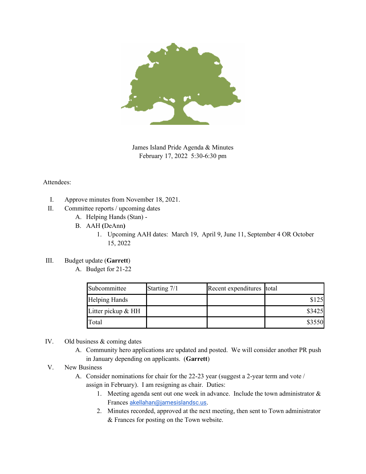

James Island Pride Agenda & Minutes February 17, 2022 5:30-6:30 pm

## Attendees:

- I. Approve minutes from November 18, 2021.
- II. Committee reports / upcoming dates
	- A. Helping Hands (Stan) -
	- B. AAH **(**DeAnn**)**
		- 1. Upcoming AAH dates: March 19, April 9, June 11, September 4 OR October 15, 2022
- III. Budget update (**Garrett**)
	- A. Budget for 21-22

| Subcommittee         | Starting 7/1 | Recent expenditures total |        |
|----------------------|--------------|---------------------------|--------|
| <b>Helping Hands</b> |              |                           | \$125  |
| Litter pickup $&HH$  |              |                           | \$3425 |
| Total                |              |                           | \$3550 |

- IV. Old business & coming dates
	- A. Community hero applications are updated and posted. We will consider another PR push in January depending on applicants. (**Garrett**)
- V. New Business
	- A. Consider nominations for chair for the 22-23 year (suggest a 2-year term and vote / assign in February). I am resigning as chair. Duties:
		- 1. Meeting agenda sent out one week in advance. Include the town administrator & Frances [akellahan@jamesislandsc.us](mailto:akellahan@jamesislandsc.us).
		- 2. Minutes recorded, approved at the next meeting, then sent to Town administrator & Frances for posting on the Town website.